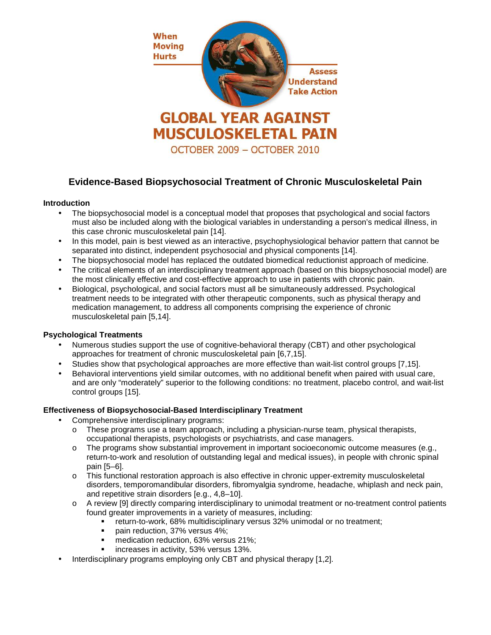

# **Evidence-Based Biopsychosocial Treatment of Chronic Musculoskeletal Pain**

## **Introduction**

- The biopsychosocial model is a conceptual model that proposes that psychological and social factors must also be included along with the biological variables in understanding a person's medical illness, in this case chronic musculoskeletal pain [14].
- In this model, pain is best viewed as an interactive, psychophysiological behavior pattern that cannot be separated into distinct, independent psychosocial and physical components [14].
- The biopsychosocial model has replaced the outdated biomedical reductionist approach of medicine.
- The critical elements of an interdisciplinary treatment approach (based on this biopsychosocial model) are the most clinically effective and cost-effective approach to use in patients with chronic pain.
- Biological, psychological, and social factors must all be simultaneously addressed. Psychological treatment needs to be integrated with other therapeutic components, such as physical therapy and medication management, to address all components comprising the experience of chronic musculoskeletal pain [5,14].

## **Psychological Treatments**

- Numerous studies support the use of cognitive-behavioral therapy (CBT) and other psychological approaches for treatment of chronic musculoskeletal pain [6,7,15].
- Studies show that psychological approaches are more effective than wait-list control groups [7,15].
- Behavioral interventions yield similar outcomes, with no additional benefit when paired with usual care, and are only "moderately" superior to the following conditions: no treatment, placebo control, and wait-list control groups [15].

## **Effectiveness of Biopsychosocial-Based Interdisciplinary Treatment**

- Comprehensive interdisciplinary programs:
	- $\circ$  These programs use a team approach, including a physician-nurse team, physical therapists, occupational therapists, psychologists or psychiatrists, and case managers.
	- $\circ$  The programs show substantial improvement in important socioeconomic outcome measures (e.g., return-to-work and resolution of outstanding legal and medical issues), in people with chronic spinal pain [5–6].
	- o This functional restoration approach is also effective in chronic upper-extremity musculoskeletal disorders, temporomandibular disorders, fibromyalgia syndrome, headache, whiplash and neck pain, and repetitive strain disorders [e.g., 4,8–10].
	- o A review [9] directly comparing interdisciplinary to unimodal treatment or no-treatment control patients found greater improvements in a variety of measures, including:
		- return-to-work, 68% multidisciplinary versus 32% unimodal or no treatment;
		- pain reduction, 37% versus 4%;
		- **medication reduction, 63% versus 21%;**
		- increases in activity, 53% versus 13%.
- Interdisciplinary programs employing only CBT and physical therapy [1,2].